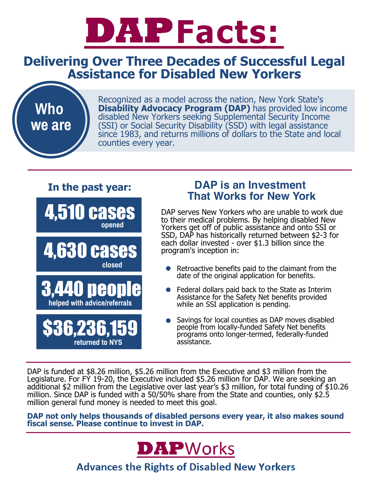

### **Delivering Over Three Decades of Successful Legal Assistance for Disabled New Yorkers**



Recognized as a model across the nation, New York State's **Disability Advocacy Program (DAP)** has provided low income disabled New Yorkers seeking Supplemental Security Income (SSI) or Social Security Disability (SSD) with legal assistance since 1983, and returns millions of dollars to the State and local counties every year.

#### **In the past year:**

**opened** 4,510 cases

**closed** 4,630 cases



**returned to NYS** \$36,236,159

#### **DAP is an Investment That Works for New York**

DAP serves New Yorkers who are unable to work due to their medical problems. By helping disabled New Yorkers get off of public assistance and onto SSI or SSD, DAP has historically returned between \$2-3 for each dollar invested - over \$1.3 billion since the program's inception in:

- Retroactive benefits paid to the claimant from the date of the original application for benefits.
- Federal dollars paid back to the State as Interim Assistance for the Safety Net benefits provided while an SSI application is pending.
- Savings for local counties as DAP moves disabled people from locally-funded Safety Net benefits programs onto longer-termed, federally-funded assistance.

DAP is funded at \$8.26 million, \$5.26 million from the Executive and \$3 million from the Legislature. For FY 19-20, the Executive included \$5.26 million for DAP. We are seeking an additional \$2 million from the Legislative over last year's \$3 million, for total funding of \$10.26 million. Since DAP is funded with a 50/50% share from the State and counties, only \$2.5 million general fund money is needed to meet this goal.

**DAP not only helps thousands of disabled persons every year, it also makes sound fiscal sense. Please continue to invest in DAP.**



**Advances the Rights of Disabled New Yorkers**